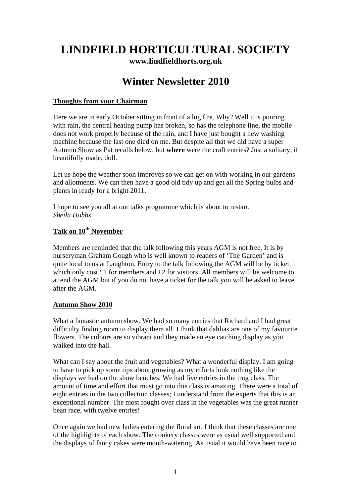## **LINDFIELD HORTICULTURAL SOCIETY**

**[www.lindfieldhorts.org.uk](http://www.lindfieldhorts.org.uk/)**

### **Winter Newsletter 2010**

#### **Thoughts from your Chairman**

Here we are in early October sitting in front of a log fire. Why? Well it is pouring with rain, the central heating pump has broken, so has the telephone line, the mobile does not work properly because of the rain, and I have just bought a new washing machine because the last one died on me. But despite all that we did have a super Autumn Show as Pat recalls below, but **where** were the craft entries? Just a solitary, if beautifully made, doll.

Let us hope the weather soon improves so we can get on with working in our gardens and allotments. We can then have a good old tidy up and get all the Spring bulbs and plants in ready for a bright 2011.

I hope to see you all at our talks programme which is about to restart. *Sheila Hobbs* 

#### **Talk on 10th November**

Members are reminded that the talk following this years AGM is not free. It is by nurseryman Graham Gough who is well known to readers of 'The Garden' and is quite local to us at Laughton. Entry to the talk following the AGM will be by ticket, which only cost £1 for members and £2 for visitors. All members will be welcome to attend the AGM but if you do not have a ticket for the talk you will be asked to leave after the AGM.

#### **Autumn Show 2010**

What a fantastic autumn show. We had so many entries that Richard and I had great difficulty finding room to display them all. I think that dahlias are one of my favourite flowers. The colours are so vibrant and they made an eye catching display as you walked into the hall.

What can I say about the fruit and vegetables? What a wonderful display. I am going to have to pick up some tips about growing as my efforts look nothing like the displays we had on the show benches. We had five entries in the trug class. The amount of time and effort that must go into this class is amazing. There were a total of eight entries in the two collection classes; I understand from the experts that this is an exceptional number. The most fought over class in the vegetables was the great runner bean race, with twelve entries!

Once again we had new ladies entering the floral art. I think that these classes are one of the highlights of each show. The cookery classes were as usual well supported and the displays of fancy cakes were mouth-watering. As usual it would have been nice to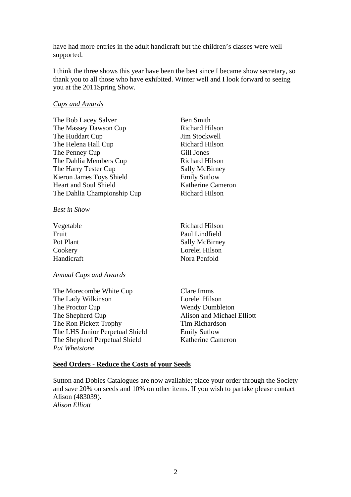have had more entries in the adult handicraft but the children's classes were well supported.

I think the three shows this year have been the best since I became show secretary, so thank you to all those who have exhibited. Winter well and I look forward to seeing you at the 2011Spring Show.

> **Ben Smith** Richard Hilson Jim Stockwell Richard Hilson Gill Jones Richard Hilson Sally McBirney **Emily Sutlow** Katherine Cameron

#### *Cups and Awards*

| The Bob Lacey Salver         | <b>Ben Smith</b>      |
|------------------------------|-----------------------|
| The Massey Dawson Cup        | <b>Richard Hilson</b> |
| The Huddart Cup              | Jim Stockwell         |
| The Helena Hall Cup          | Richard Hilson        |
| The Penney Cup               | Gill Jones            |
| The Dahlia Members Cup       | <b>Richard Hilson</b> |
| The Harry Tester Cup         | Sally McBirney        |
| Kieron James Toys Shield     | <b>Emily Sutlow</b>   |
| <b>Heart and Soul Shield</b> | Katherine Came        |
| The Dahlia Championship Cup  | <b>Richard Hilson</b> |
|                              |                       |

*Best in Show*

| Vegetable  | Richard Hilson        |
|------------|-----------------------|
| Fruit      | Paul Lindfield        |
| Pot Plant  | <b>Sally McBirney</b> |
| Cookery    | Lorelei Hilson        |
| Handicraft | Nora Penfold          |

#### *Annual Cups and Awards*

The Morecombe White Cup Clare Imms The Lady Wilkinson **Lorelei Hilson** The Proctor Cup Wendy Dumbleton The Shepherd Cup Alison and Michael Elliott The Ron Pickett Trophy Tim Richardson The LHS Junior Perpetual Shield Emily Sutlow The Shepherd Perpetual Shield Katherine Cameron *Pat Whetstone* 

#### **Seed Orders - Reduce the Costs of your Seeds**

Sutton and Dobies Catalogues are now available; place your order through the Society and save 20% on seeds and 10% on other items. If you wish to partake please contact Alison (483039). *Alison Elliott*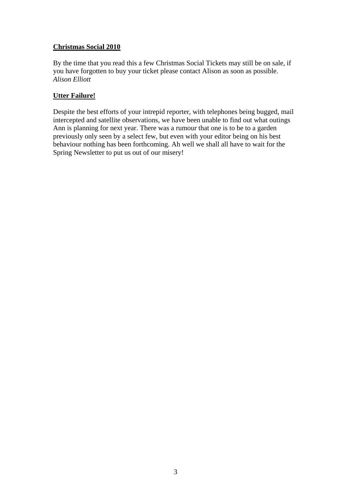#### **Christmas Social 2010**

By the time that you read this a few Christmas Social Tickets may still be on sale, if you have forgotten to buy your ticket please contact Alison as soon as possible. *Alison Elliott* 

#### **Utter Failure!**

Despite the best efforts of your intrepid reporter, with telephones being bugged, mail intercepted and satellite observations, we have been unable to find out what outings Ann is planning for next year. There was a rumour that one is to be to a garden previously only seen by a select few, but even with your editor being on his best behaviour nothing has been forthcoming. Ah well we shall all have to wait for the Spring Newsletter to put us out of our misery!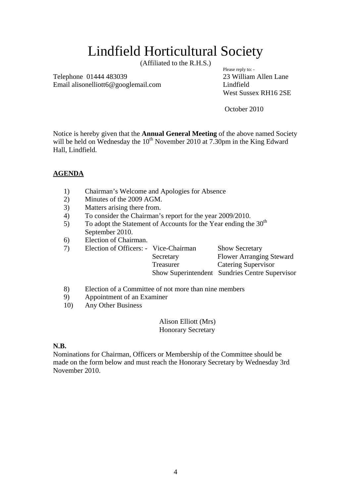### Lindfield Horticultural Society

(Affiliated to the R.H.S.) Please reply to: -

Telephone 01444 483039 23 William Allen Lane Email alisonelliott6@googlemail.com Lindfield

West Sussex RH16 2SE

October 2010

Notice is hereby given that the **Annual General Meeting** of the above named Society will be held on Wednesday the  $10^{th}$  November 2010 at 7.30pm in the King Edward Hall, Lindfield.

#### **AGENDA**

- 1) Chairman's Welcome and Apologies for Absence
- 2) Minutes of the 2009 AGM.
- 3) Matters arising there from.
- 4) To consider the Chairman's report for the year 2009/2010.
- 5) To adopt the Statement of Accounts for the Year ending the  $30<sup>th</sup>$ September 2010.
- 6) Election of Chairman.

| Election of Officers: - Vice-Chairman | <b>Show Secretary</b>                          |
|---------------------------------------|------------------------------------------------|
| Secretary                             | <b>Flower Arranging Steward</b>                |
| Treasurer                             | <b>Catering Supervisor</b>                     |
|                                       | Show Superintendent Sundries Centre Supervisor |
|                                       |                                                |

- 8) Election of a Committee of not more than nine members
- 9) Appointment of an Examiner
- 10) Any Other Business

#### Alison Elliott (Mrs) Honorary Secretary

#### **N.B.**

Nominations for Chairman, Officers or Membership of the Committee should be made on the form below and must reach the Honorary Secretary by Wednesday 3rd November 2010.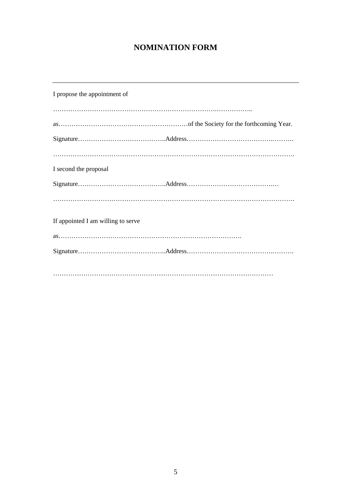### **NOMINATION FORM**

| I propose the appointment of       |
|------------------------------------|
|                                    |
|                                    |
|                                    |
|                                    |
| I second the proposal              |
|                                    |
|                                    |
|                                    |
| If appointed I am willing to serve |
|                                    |
|                                    |
|                                    |
|                                    |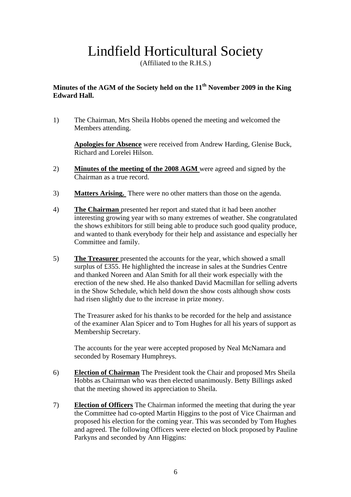# Lindfield Horticultural Society

(Affiliated to the R.H.S.)

#### **Minutes of the AGM of the Society held on the 11th November 2009 in the King Edward Hall.**

1) The Chairman, Mrs Sheila Hobbs opened the meeting and welcomed the Members attending.

**Apologies for Absence** were received from Andrew Harding, Glenise Buck, Richard and Lorelei Hilson.

- 2) **Minutes of the meeting of the 2008 AGM** were agreed and signed by the Chairman as a true record.
- 3) **Matters Arising.** There were no other matters than those on the agenda.
- 4) **The Chairman** presented her report and stated that it had been another interesting growing year with so many extremes of weather. She congratulated the shows exhibitors for still being able to produce such good quality produce, and wanted to thank everybody for their help and assistance and especially her Committee and family.
- 5) **The Treasurer** presented the accounts for the year, which showed a small surplus of £355. He highlighted the increase in sales at the Sundries Centre and thanked Noreen and Alan Smith for all their work especially with the erection of the new shed. He also thanked David Macmillan for selling adverts in the Show Schedule, which held down the show costs although show costs had risen slightly due to the increase in prize money.

The Treasurer asked for his thanks to be recorded for the help and assistance of the examiner Alan Spicer and to Tom Hughes for all his years of support as Membership Secretary.

The accounts for the year were accepted proposed by Neal McNamara and seconded by Rosemary Humphreys.

- 6) **Election of Chairman** The President took the Chair and proposed Mrs Sheila Hobbs as Chairman who was then elected unanimously. Betty Billings asked that the meeting showed its appreciation to Sheila.
- 7) **Election of Officers** The Chairman informed the meeting that during the year the Committee had co-opted Martin Higgins to the post of Vice Chairman and proposed his election for the coming year. This was seconded by Tom Hughes and agreed. The following Officers were elected on block proposed by Pauline Parkyns and seconded by Ann Higgins: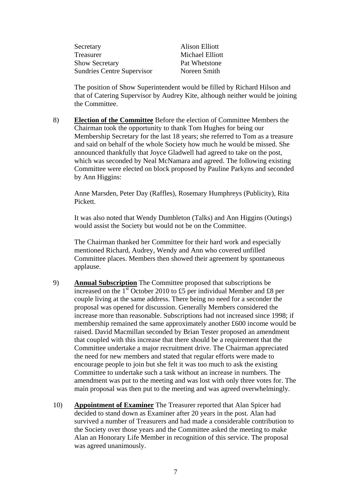| Secretary                         | <b>Alison Elliott</b> |
|-----------------------------------|-----------------------|
| Treasurer                         | Michael Elliott       |
| <b>Show Secretary</b>             | Pat Whetstone         |
| <b>Sundries Centre Supervisor</b> | Noreen Smith          |

The position of Show Superintendent would be filled by Richard Hilson and that of Catering Supervisor by Audrey Kite, although neither would be joining the Committee.

8) **Election of the Committee** Before the election of Committee Members the Chairman took the opportunity to thank Tom Hughes for being our Membership Secretary for the last 18 years; she referred to Tom as a treasure and said on behalf of the whole Society how much he would be missed. She announced thankfully that Joyce Gladwell had agreed to take on the post, which was seconded by Neal McNamara and agreed. The following existing Committee were elected on block proposed by Pauline Parkyns and seconded by Ann Higgins:

Anne Marsden, Peter Day (Raffles), Rosemary Humphreys (Publicity), Rita Pickett.

It was also noted that Wendy Dumbleton (Talks) and Ann Higgins (Outings) would assist the Society but would not be on the Committee.

The Chairman thanked her Committee for their hard work and especially mentioned Richard, Audrey, Wendy and Ann who covered unfilled Committee places. Members then showed their agreement by spontaneous applause.

- 9) **Annual Subscription** The Committee proposed that subscriptions be increased on the  $1<sup>st</sup>$  October 2010 to £5 per individual Member and £8 per couple living at the same address. There being no need for a seconder the proposal was opened for discussion. Generally Members considered the increase more than reasonable. Subscriptions had not increased since 1998; if membership remained the same approximately another £600 income would be raised. David Macmillan seconded by Brian Tester proposed an amendment that coupled with this increase that there should be a requirement that the Committee undertake a major recruitment drive. The Chairman appreciated the need for new members and stated that regular efforts were made to encourage people to join but she felt it was too much to ask the existing Committee to undertake such a task without an increase in numbers. The amendment was put to the meeting and was lost with only three votes for. The main proposal was then put to the meeting and was agreed overwhelmingly.
- 10) **Appointment of Examiner** The Treasurer reported that Alan Spicer had decided to stand down as Examiner after 20 years in the post. Alan had survived a number of Treasurers and had made a considerable contribution to the Society over those years and the Committee asked the meeting to make Alan an Honorary Life Member in recognition of this service. The proposal was agreed unanimously.